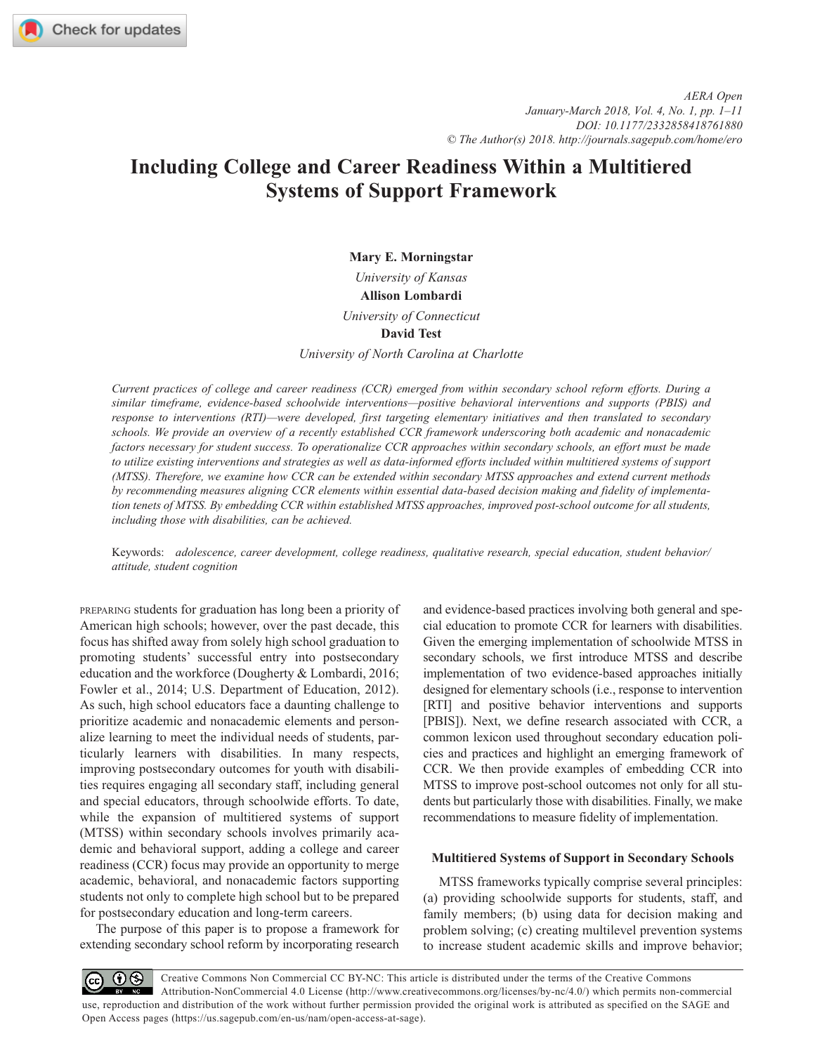

# **Including College and Career Readiness Within a Multitiered Systems of Support Framework**

**Mary E. Morningstar** *University of Kansas* **Allison Lombardi** *University of Connecticut* **David Test**

*University of North Carolina at Charlotte*

*Current practices of college and career readiness (CCR) emerged from within secondary school reform efforts. During a similar timeframe, evidence-based schoolwide interventions—positive behavioral interventions and supports (PBIS) and response to interventions (RTI)—were developed, first targeting elementary initiatives and then translated to secondary schools. We provide an overview of a recently established CCR framework underscoring both academic and nonacademic factors necessary for student success. To operationalize CCR approaches within secondary schools, an effort must be made to utilize existing interventions and strategies as well as data-informed efforts included within multitiered systems of support (MTSS). Therefore, we examine how CCR can be extended within secondary MTSS approaches and extend current methods by recommending measures aligning CCR elements within essential data-based decision making and fidelity of implementation tenets of MTSS. By embedding CCR within established MTSS approaches, improved post-school outcome for all students, including those with disabilities, can be achieved.*

Keywords: *adolescence, career development, college readiness, qualitative research, special education, student behavior/ attitude, student cognition*

preparing students for graduation has long been a priority of American high schools; however, over the past decade, this focus has shifted away from solely high school graduation to promoting students' successful entry into postsecondary education and the workforce (Dougherty & Lombardi, 2016; Fowler et al., 2014; U.S. Department of Education, 2012). As such, high school educators face a daunting challenge to prioritize academic and nonacademic elements and personalize learning to meet the individual needs of students, particularly learners with disabilities. In many respects, improving postsecondary outcomes for youth with disabilities requires engaging all secondary staff, including general and special educators, through schoolwide efforts. To date, while the expansion of multitiered systems of support (MTSS) within secondary schools involves primarily academic and behavioral support, adding a college and career readiness (CCR) focus may provide an opportunity to merge academic, behavioral, and nonacademic factors supporting students not only to complete high school but to be prepared for postsecondary education and long-term careers.

The purpose of this paper is to propose a framework for extending secondary school reform by incorporating research and evidence-based practices involving both general and special education to promote CCR for learners with disabilities. Given the emerging implementation of schoolwide MTSS in secondary schools, we first introduce MTSS and describe implementation of two evidence-based approaches initially designed for elementary schools (i.e., response to intervention [RTI] and positive behavior interventions and supports [PBIS]). Next, we define research associated with CCR, a common lexicon used throughout secondary education policies and practices and highlight an emerging framework of CCR. We then provide examples of embedding CCR into MTSS to improve post-school outcomes not only for all students but particularly those with disabilities. Finally, we make recommendations to measure fidelity of implementation.

#### **Multitiered Systems of Support in Secondary Schools**

MTSS frameworks typically comprise several principles: (a) providing schoolwide supports for students, staff, and family members; (b) using data for decision making and problem solving; (c) creating multilevel prevention systems to increase student academic skills and improve behavior;

Creative Commons Non Commercial CC BY-NC: This article is distributed under the terms of the Creative Commons  $0$  $\odot$  $\left($ Attribution-NonCommercial 4.0 License (http://www.creativecommons.org/licenses/by-nc/4.0/) which permits non-commercial use, reproduction and distribution of the work without further permission provided the original work is attributed as specified on the SAGE and Open Access pages (https://us.sagepub.com/en-us/nam/open-access-at-sage).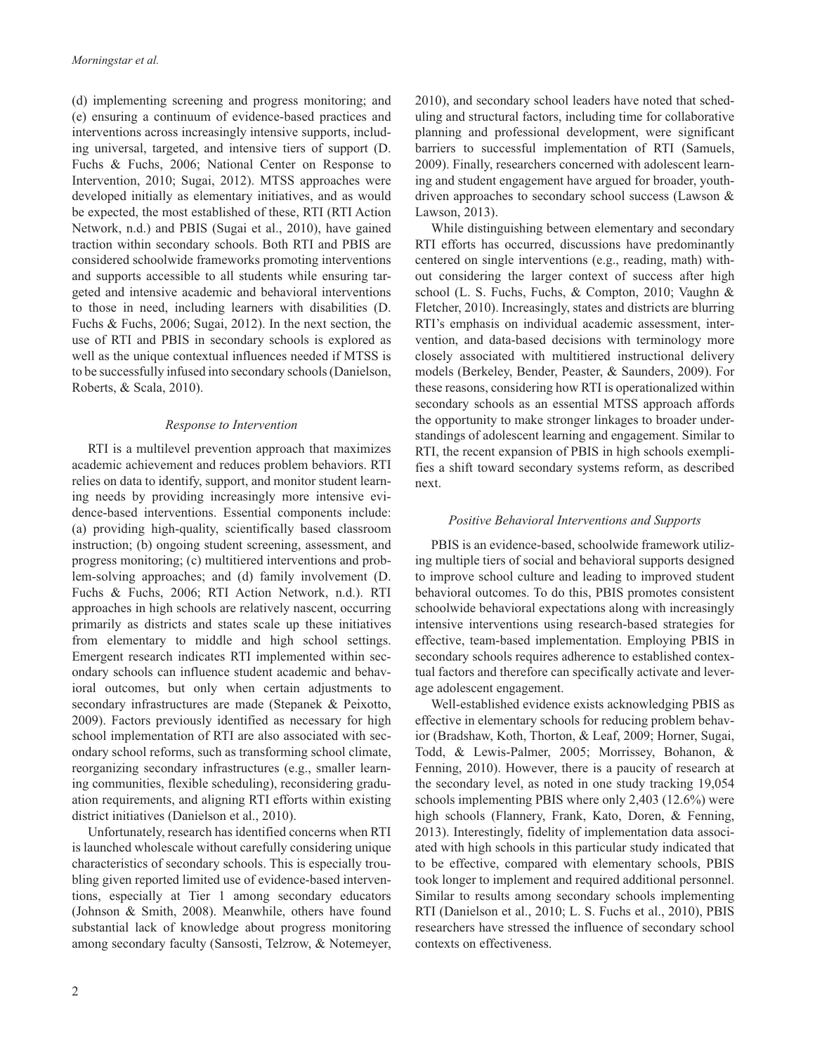(d) implementing screening and progress monitoring; and (e) ensuring a continuum of evidence-based practices and interventions across increasingly intensive supports, including universal, targeted, and intensive tiers of support (D. Fuchs & Fuchs, 2006; National Center on Response to Intervention, 2010; Sugai, 2012). MTSS approaches were developed initially as elementary initiatives, and as would be expected, the most established of these, RTI (RTI Action Network, n.d.) and PBIS (Sugai et al., 2010), have gained traction within secondary schools. Both RTI and PBIS are considered schoolwide frameworks promoting interventions and supports accessible to all students while ensuring targeted and intensive academic and behavioral interventions to those in need, including learners with disabilities (D. Fuchs & Fuchs, 2006; Sugai, 2012). In the next section, the use of RTI and PBIS in secondary schools is explored as well as the unique contextual influences needed if MTSS is to be successfully infused into secondary schools (Danielson, Roberts, & Scala, 2010).

#### *Response to Intervention*

RTI is a multilevel prevention approach that maximizes academic achievement and reduces problem behaviors. RTI relies on data to identify, support, and monitor student learning needs by providing increasingly more intensive evidence-based interventions. Essential components include: (a) providing high-quality, scientifically based classroom instruction; (b) ongoing student screening, assessment, and progress monitoring; (c) multitiered interventions and problem-solving approaches; and (d) family involvement (D. Fuchs & Fuchs, 2006; RTI Action Network, n.d.). RTI approaches in high schools are relatively nascent, occurring primarily as districts and states scale up these initiatives from elementary to middle and high school settings. Emergent research indicates RTI implemented within secondary schools can influence student academic and behavioral outcomes, but only when certain adjustments to secondary infrastructures are made (Stepanek & Peixotto, 2009). Factors previously identified as necessary for high school implementation of RTI are also associated with secondary school reforms, such as transforming school climate, reorganizing secondary infrastructures (e.g., smaller learning communities, flexible scheduling), reconsidering graduation requirements, and aligning RTI efforts within existing district initiatives (Danielson et al., 2010).

Unfortunately, research has identified concerns when RTI is launched wholescale without carefully considering unique characteristics of secondary schools. This is especially troubling given reported limited use of evidence-based interventions, especially at Tier 1 among secondary educators (Johnson & Smith, 2008). Meanwhile, others have found substantial lack of knowledge about progress monitoring among secondary faculty (Sansosti, Telzrow, & Notemeyer, 2010), and secondary school leaders have noted that scheduling and structural factors, including time for collaborative planning and professional development, were significant barriers to successful implementation of RTI (Samuels, 2009). Finally, researchers concerned with adolescent learning and student engagement have argued for broader, youthdriven approaches to secondary school success (Lawson & Lawson, 2013).

While distinguishing between elementary and secondary RTI efforts has occurred, discussions have predominantly centered on single interventions (e.g., reading, math) without considering the larger context of success after high school (L. S. Fuchs, Fuchs, & Compton, 2010; Vaughn & Fletcher, 2010). Increasingly, states and districts are blurring RTI's emphasis on individual academic assessment, intervention, and data-based decisions with terminology more closely associated with multitiered instructional delivery models (Berkeley, Bender, Peaster, & Saunders, 2009). For these reasons, considering how RTI is operationalized within secondary schools as an essential MTSS approach affords the opportunity to make stronger linkages to broader understandings of adolescent learning and engagement. Similar to RTI, the recent expansion of PBIS in high schools exemplifies a shift toward secondary systems reform, as described next.

#### *Positive Behavioral Interventions and Supports*

PBIS is an evidence-based, schoolwide framework utilizing multiple tiers of social and behavioral supports designed to improve school culture and leading to improved student behavioral outcomes. To do this, PBIS promotes consistent schoolwide behavioral expectations along with increasingly intensive interventions using research-based strategies for effective, team-based implementation. Employing PBIS in secondary schools requires adherence to established contextual factors and therefore can specifically activate and leverage adolescent engagement.

Well-established evidence exists acknowledging PBIS as effective in elementary schools for reducing problem behavior (Bradshaw, Koth, Thorton, & Leaf, 2009; Horner, Sugai, Todd, & Lewis-Palmer, 2005; Morrissey, Bohanon, & Fenning, 2010). However, there is a paucity of research at the secondary level, as noted in one study tracking 19,054 schools implementing PBIS where only 2,403 (12.6%) were high schools (Flannery, Frank, Kato, Doren, & Fenning, 2013). Interestingly, fidelity of implementation data associated with high schools in this particular study indicated that to be effective, compared with elementary schools, PBIS took longer to implement and required additional personnel. Similar to results among secondary schools implementing RTI (Danielson et al., 2010; L. S. Fuchs et al., 2010), PBIS researchers have stressed the influence of secondary school contexts on effectiveness.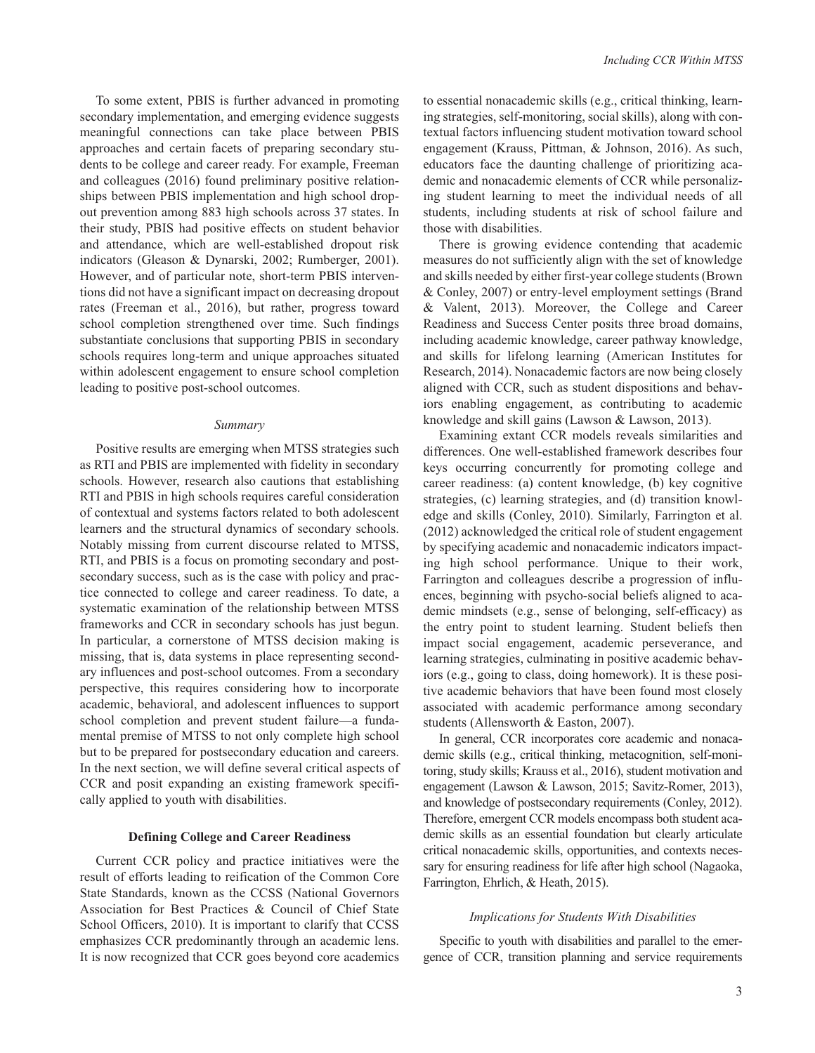To some extent, PBIS is further advanced in promoting secondary implementation, and emerging evidence suggests meaningful connections can take place between PBIS approaches and certain facets of preparing secondary students to be college and career ready. For example, Freeman and colleagues (2016) found preliminary positive relationships between PBIS implementation and high school dropout prevention among 883 high schools across 37 states. In their study, PBIS had positive effects on student behavior and attendance, which are well-established dropout risk indicators (Gleason & Dynarski, 2002; Rumberger, 2001). However, and of particular note, short-term PBIS interventions did not have a significant impact on decreasing dropout rates (Freeman et al., 2016), but rather, progress toward school completion strengthened over time. Such findings substantiate conclusions that supporting PBIS in secondary schools requires long-term and unique approaches situated within adolescent engagement to ensure school completion leading to positive post-school outcomes.

#### *Summary*

Positive results are emerging when MTSS strategies such as RTI and PBIS are implemented with fidelity in secondary schools. However, research also cautions that establishing RTI and PBIS in high schools requires careful consideration of contextual and systems factors related to both adolescent learners and the structural dynamics of secondary schools. Notably missing from current discourse related to MTSS, RTI, and PBIS is a focus on promoting secondary and postsecondary success, such as is the case with policy and practice connected to college and career readiness. To date, a systematic examination of the relationship between MTSS frameworks and CCR in secondary schools has just begun. In particular, a cornerstone of MTSS decision making is missing, that is, data systems in place representing secondary influences and post-school outcomes. From a secondary perspective, this requires considering how to incorporate academic, behavioral, and adolescent influences to support school completion and prevent student failure—a fundamental premise of MTSS to not only complete high school but to be prepared for postsecondary education and careers. In the next section, we will define several critical aspects of CCR and posit expanding an existing framework specifically applied to youth with disabilities.

## **Defining College and Career Readiness**

Current CCR policy and practice initiatives were the result of efforts leading to reification of the Common Core State Standards, known as the CCSS (National Governors Association for Best Practices & Council of Chief State School Officers, 2010). It is important to clarify that CCSS emphasizes CCR predominantly through an academic lens. It is now recognized that CCR goes beyond core academics to essential nonacademic skills (e.g., critical thinking, learning strategies, self-monitoring, social skills), along with contextual factors influencing student motivation toward school engagement (Krauss, Pittman, & Johnson, 2016). As such, educators face the daunting challenge of prioritizing academic and nonacademic elements of CCR while personalizing student learning to meet the individual needs of all students, including students at risk of school failure and those with disabilities.

There is growing evidence contending that academic measures do not sufficiently align with the set of knowledge and skills needed by either first-year college students (Brown & Conley, 2007) or entry-level employment settings (Brand & Valent, 2013). Moreover, the College and Career Readiness and Success Center posits three broad domains, including academic knowledge, career pathway knowledge, and skills for lifelong learning (American Institutes for Research, 2014). Nonacademic factors are now being closely aligned with CCR, such as student dispositions and behaviors enabling engagement, as contributing to academic knowledge and skill gains (Lawson & Lawson, 2013).

Examining extant CCR models reveals similarities and differences. One well-established framework describes four keys occurring concurrently for promoting college and career readiness: (a) content knowledge, (b) key cognitive strategies, (c) learning strategies, and (d) transition knowledge and skills (Conley, 2010). Similarly, Farrington et al. (2012) acknowledged the critical role of student engagement by specifying academic and nonacademic indicators impacting high school performance. Unique to their work, Farrington and colleagues describe a progression of influences, beginning with psycho-social beliefs aligned to academic mindsets (e.g., sense of belonging, self-efficacy) as the entry point to student learning. Student beliefs then impact social engagement, academic perseverance, and learning strategies, culminating in positive academic behaviors (e.g., going to class, doing homework). It is these positive academic behaviors that have been found most closely associated with academic performance among secondary students (Allensworth & Easton, 2007).

In general, CCR incorporates core academic and nonacademic skills (e.g., critical thinking, metacognition, self-monitoring, study skills; Krauss et al., 2016), student motivation and engagement (Lawson & Lawson, 2015; Savitz-Romer, 2013), and knowledge of postsecondary requirements (Conley, 2012). Therefore, emergent CCR models encompass both student academic skills as an essential foundation but clearly articulate critical nonacademic skills, opportunities, and contexts necessary for ensuring readiness for life after high school (Nagaoka, Farrington, Ehrlich, & Heath, 2015).

#### *Implications for Students With Disabilities*

Specific to youth with disabilities and parallel to the emergence of CCR, transition planning and service requirements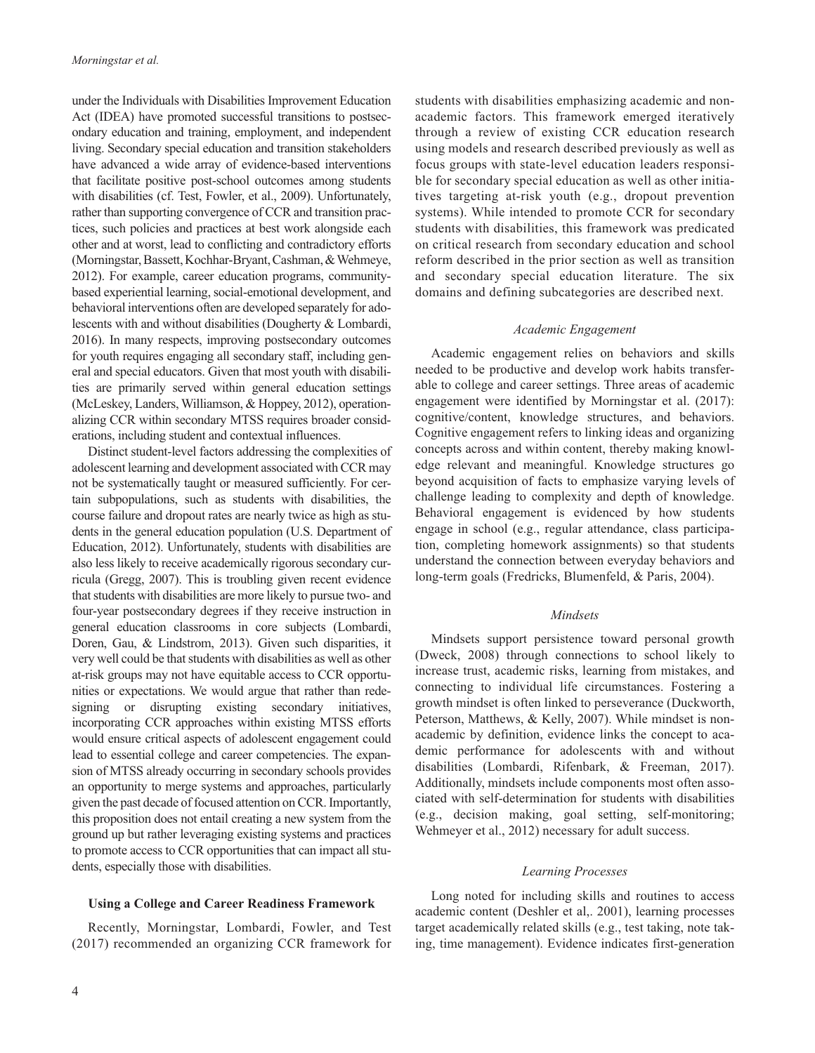under the Individuals with Disabilities Improvement Education Act (IDEA) have promoted successful transitions to postsecondary education and training, employment, and independent living. Secondary special education and transition stakeholders have advanced a wide array of evidence-based interventions that facilitate positive post-school outcomes among students with disabilities (cf. Test, Fowler, et al., 2009). Unfortunately, rather than supporting convergence of CCR and transition practices, such policies and practices at best work alongside each other and at worst, lead to conflicting and contradictory efforts (Morningstar, Bassett, Kochhar-Bryant, Cashman, & Wehmeye, 2012). For example, career education programs, communitybased experiential learning, social-emotional development, and behavioral interventions often are developed separately for adolescents with and without disabilities (Dougherty & Lombardi, 2016). In many respects, improving postsecondary outcomes for youth requires engaging all secondary staff, including general and special educators. Given that most youth with disabilities are primarily served within general education settings (McLeskey, Landers, Williamson, & Hoppey, 2012), operationalizing CCR within secondary MTSS requires broader considerations, including student and contextual influences.

Distinct student-level factors addressing the complexities of adolescent learning and development associated with CCR may not be systematically taught or measured sufficiently. For certain subpopulations, such as students with disabilities, the course failure and dropout rates are nearly twice as high as students in the general education population (U.S. Department of Education, 2012). Unfortunately, students with disabilities are also less likely to receive academically rigorous secondary curricula (Gregg, 2007). This is troubling given recent evidence that students with disabilities are more likely to pursue two- and four-year postsecondary degrees if they receive instruction in general education classrooms in core subjects (Lombardi, Doren, Gau, & Lindstrom, 2013). Given such disparities, it very well could be that students with disabilities as well as other at-risk groups may not have equitable access to CCR opportunities or expectations. We would argue that rather than redesigning or disrupting existing secondary initiatives, incorporating CCR approaches within existing MTSS efforts would ensure critical aspects of adolescent engagement could lead to essential college and career competencies. The expansion of MTSS already occurring in secondary schools provides an opportunity to merge systems and approaches, particularly given the past decade of focused attention on CCR. Importantly, this proposition does not entail creating a new system from the ground up but rather leveraging existing systems and practices to promote access to CCR opportunities that can impact all students, especially those with disabilities.

#### **Using a College and Career Readiness Framework**

Recently, Morningstar, Lombardi, Fowler, and Test (2017) recommended an organizing CCR framework for

students with disabilities emphasizing academic and nonacademic factors. This framework emerged iteratively through a review of existing CCR education research using models and research described previously as well as focus groups with state-level education leaders responsible for secondary special education as well as other initiatives targeting at-risk youth (e.g., dropout prevention systems). While intended to promote CCR for secondary students with disabilities, this framework was predicated on critical research from secondary education and school reform described in the prior section as well as transition and secondary special education literature. The six domains and defining subcategories are described next.

#### *Academic Engagement*

Academic engagement relies on behaviors and skills needed to be productive and develop work habits transferable to college and career settings. Three areas of academic engagement were identified by Morningstar et al. (2017): cognitive/content, knowledge structures, and behaviors. Cognitive engagement refers to linking ideas and organizing concepts across and within content, thereby making knowledge relevant and meaningful. Knowledge structures go beyond acquisition of facts to emphasize varying levels of challenge leading to complexity and depth of knowledge. Behavioral engagement is evidenced by how students engage in school (e.g., regular attendance, class participation, completing homework assignments) so that students understand the connection between everyday behaviors and long-term goals (Fredricks, Blumenfeld, & Paris, 2004).

#### *Mindsets*

Mindsets support persistence toward personal growth (Dweck, 2008) through connections to school likely to increase trust, academic risks, learning from mistakes, and connecting to individual life circumstances. Fostering a growth mindset is often linked to perseverance (Duckworth, Peterson, Matthews, & Kelly, 2007). While mindset is nonacademic by definition, evidence links the concept to academic performance for adolescents with and without disabilities (Lombardi, Rifenbark, & Freeman, 2017). Additionally, mindsets include components most often associated with self-determination for students with disabilities (e.g., decision making, goal setting, self-monitoring; Wehmeyer et al., 2012) necessary for adult success.

#### *Learning Processes*

Long noted for including skills and routines to access academic content (Deshler et al,. 2001), learning processes target academically related skills (e.g., test taking, note taking, time management). Evidence indicates first-generation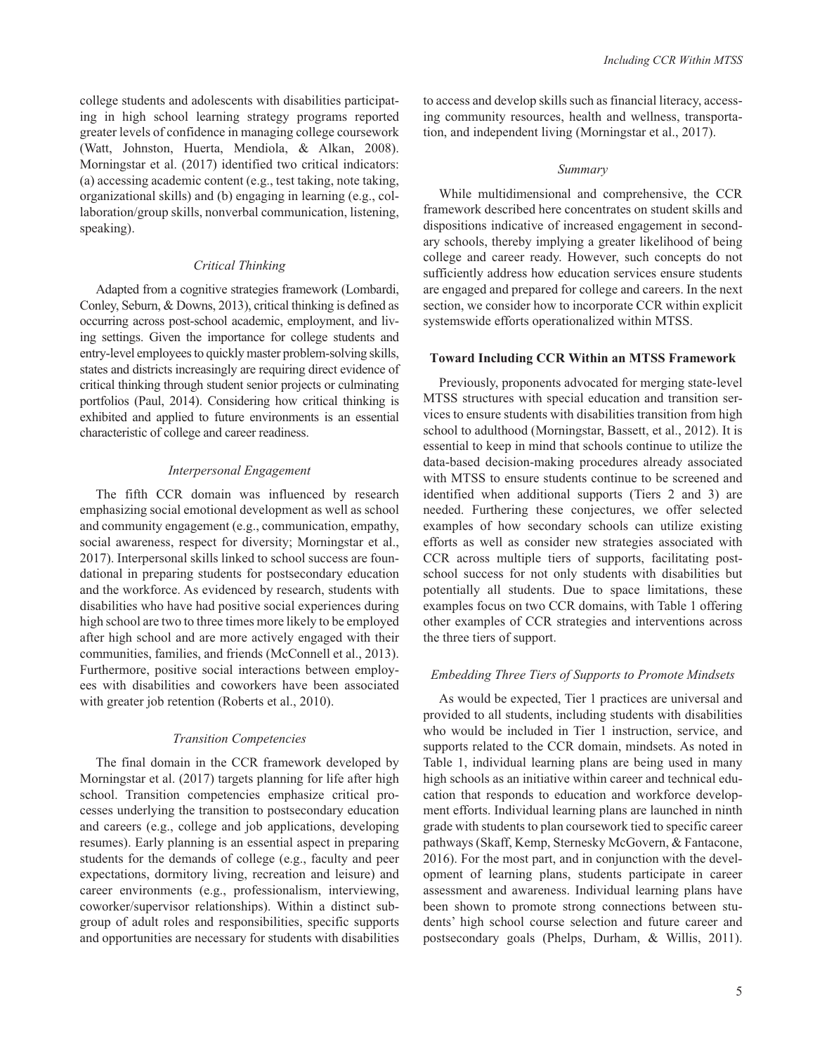college students and adolescents with disabilities participating in high school learning strategy programs reported greater levels of confidence in managing college coursework (Watt, Johnston, Huerta, Mendiola, & Alkan, 2008). Morningstar et al. (2017) identified two critical indicators: (a) accessing academic content (e.g., test taking, note taking, organizational skills) and (b) engaging in learning (e.g., collaboration/group skills, nonverbal communication, listening, speaking).

#### *Critical Thinking*

Adapted from a cognitive strategies framework (Lombardi, Conley, Seburn, & Downs, 2013), critical thinking is defined as occurring across post-school academic, employment, and living settings. Given the importance for college students and entry-level employees to quickly master problem-solving skills, states and districts increasingly are requiring direct evidence of critical thinking through student senior projects or culminating portfolios (Paul, 2014). Considering how critical thinking is exhibited and applied to future environments is an essential characteristic of college and career readiness.

#### *Interpersonal Engagement*

The fifth CCR domain was influenced by research emphasizing social emotional development as well as school and community engagement (e.g., communication, empathy, social awareness, respect for diversity; Morningstar et al., 2017). Interpersonal skills linked to school success are foundational in preparing students for postsecondary education and the workforce. As evidenced by research, students with disabilities who have had positive social experiences during high school are two to three times more likely to be employed after high school and are more actively engaged with their communities, families, and friends (McConnell et al., 2013). Furthermore, positive social interactions between employees with disabilities and coworkers have been associated with greater job retention (Roberts et al., 2010).

#### *Transition Competencies*

The final domain in the CCR framework developed by Morningstar et al. (2017) targets planning for life after high school. Transition competencies emphasize critical processes underlying the transition to postsecondary education and careers (e.g., college and job applications, developing resumes). Early planning is an essential aspect in preparing students for the demands of college (e.g., faculty and peer expectations, dormitory living, recreation and leisure) and career environments (e.g., professionalism, interviewing, coworker/supervisor relationships). Within a distinct subgroup of adult roles and responsibilities, specific supports and opportunities are necessary for students with disabilities to access and develop skills such as financial literacy, accessing community resources, health and wellness, transportation, and independent living (Morningstar et al., 2017).

#### *Summary*

While multidimensional and comprehensive, the CCR framework described here concentrates on student skills and dispositions indicative of increased engagement in secondary schools, thereby implying a greater likelihood of being college and career ready. However, such concepts do not sufficiently address how education services ensure students are engaged and prepared for college and careers. In the next section, we consider how to incorporate CCR within explicit systemswide efforts operationalized within MTSS.

#### **Toward Including CCR Within an MTSS Framework**

Previously, proponents advocated for merging state-level MTSS structures with special education and transition services to ensure students with disabilities transition from high school to adulthood (Morningstar, Bassett, et al., 2012). It is essential to keep in mind that schools continue to utilize the data-based decision-making procedures already associated with MTSS to ensure students continue to be screened and identified when additional supports (Tiers 2 and 3) are needed. Furthering these conjectures, we offer selected examples of how secondary schools can utilize existing efforts as well as consider new strategies associated with CCR across multiple tiers of supports, facilitating postschool success for not only students with disabilities but potentially all students. Due to space limitations, these examples focus on two CCR domains, with Table 1 offering other examples of CCR strategies and interventions across the three tiers of support.

#### *Embedding Three Tiers of Supports to Promote Mindsets*

As would be expected, Tier 1 practices are universal and provided to all students, including students with disabilities who would be included in Tier 1 instruction, service, and supports related to the CCR domain, mindsets. As noted in Table 1, individual learning plans are being used in many high schools as an initiative within career and technical education that responds to education and workforce development efforts. Individual learning plans are launched in ninth grade with students to plan coursework tied to specific career pathways (Skaff, Kemp, Sternesky McGovern, & Fantacone, 2016). For the most part, and in conjunction with the development of learning plans, students participate in career assessment and awareness. Individual learning plans have been shown to promote strong connections between students' high school course selection and future career and postsecondary goals (Phelps, Durham, & Willis, 2011).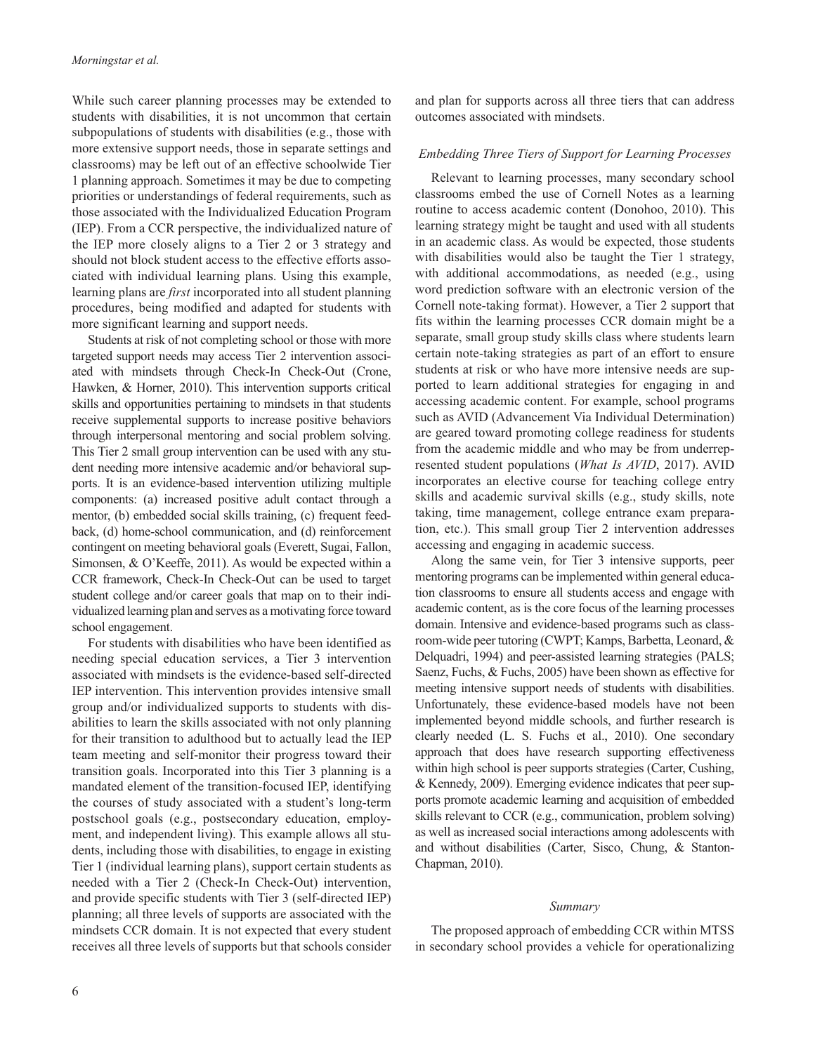While such career planning processes may be extended to students with disabilities, it is not uncommon that certain subpopulations of students with disabilities (e.g., those with more extensive support needs, those in separate settings and classrooms) may be left out of an effective schoolwide Tier 1 planning approach. Sometimes it may be due to competing priorities or understandings of federal requirements, such as those associated with the Individualized Education Program (IEP). From a CCR perspective, the individualized nature of the IEP more closely aligns to a Tier 2 or 3 strategy and should not block student access to the effective efforts associated with individual learning plans. Using this example, learning plans are *first* incorporated into all student planning procedures, being modified and adapted for students with more significant learning and support needs.

Students at risk of not completing school or those with more targeted support needs may access Tier 2 intervention associated with mindsets through Check-In Check-Out (Crone, Hawken, & Horner, 2010). This intervention supports critical skills and opportunities pertaining to mindsets in that students receive supplemental supports to increase positive behaviors through interpersonal mentoring and social problem solving. This Tier 2 small group intervention can be used with any student needing more intensive academic and/or behavioral supports. It is an evidence-based intervention utilizing multiple components: (a) increased positive adult contact through a mentor, (b) embedded social skills training, (c) frequent feedback, (d) home-school communication, and (d) reinforcement contingent on meeting behavioral goals (Everett, Sugai, Fallon, Simonsen, & O'Keeffe, 2011). As would be expected within a CCR framework, Check-In Check-Out can be used to target student college and/or career goals that map on to their individualized learning plan and serves as a motivating force toward school engagement.

For students with disabilities who have been identified as needing special education services, a Tier 3 intervention associated with mindsets is the evidence-based self-directed IEP intervention. This intervention provides intensive small group and/or individualized supports to students with disabilities to learn the skills associated with not only planning for their transition to adulthood but to actually lead the IEP team meeting and self-monitor their progress toward their transition goals. Incorporated into this Tier 3 planning is a mandated element of the transition-focused IEP, identifying the courses of study associated with a student's long-term postschool goals (e.g., postsecondary education, employment, and independent living). This example allows all students, including those with disabilities, to engage in existing Tier 1 (individual learning plans), support certain students as needed with a Tier 2 (Check-In Check-Out) intervention, and provide specific students with Tier 3 (self-directed IEP) planning; all three levels of supports are associated with the mindsets CCR domain. It is not expected that every student receives all three levels of supports but that schools consider and plan for supports across all three tiers that can address outcomes associated with mindsets.

# *Embedding Three Tiers of Support for Learning Processes*

Relevant to learning processes, many secondary school classrooms embed the use of Cornell Notes as a learning routine to access academic content (Donohoo, 2010). This learning strategy might be taught and used with all students in an academic class. As would be expected, those students with disabilities would also be taught the Tier 1 strategy, with additional accommodations, as needed (e.g., using word prediction software with an electronic version of the Cornell note-taking format). However, a Tier 2 support that fits within the learning processes CCR domain might be a separate, small group study skills class where students learn certain note-taking strategies as part of an effort to ensure students at risk or who have more intensive needs are supported to learn additional strategies for engaging in and accessing academic content. For example, school programs such as AVID (Advancement Via Individual Determination) are geared toward promoting college readiness for students from the academic middle and who may be from underrepresented student populations (*What Is AVID*, 2017). AVID incorporates an elective course for teaching college entry skills and academic survival skills (e.g., study skills, note taking, time management, college entrance exam preparation, etc.). This small group Tier 2 intervention addresses accessing and engaging in academic success.

Along the same vein, for Tier 3 intensive supports, peer mentoring programs can be implemented within general education classrooms to ensure all students access and engage with academic content, as is the core focus of the learning processes domain. Intensive and evidence-based programs such as classroom-wide peer tutoring (CWPT; Kamps, Barbetta, Leonard, & Delquadri, 1994) and peer-assisted learning strategies (PALS; Saenz, Fuchs, & Fuchs, 2005) have been shown as effective for meeting intensive support needs of students with disabilities. Unfortunately, these evidence-based models have not been implemented beyond middle schools, and further research is clearly needed (L. S. Fuchs et al., 2010). One secondary approach that does have research supporting effectiveness within high school is peer supports strategies (Carter, Cushing, & Kennedy, 2009). Emerging evidence indicates that peer supports promote academic learning and acquisition of embedded skills relevant to CCR (e.g., communication, problem solving) as well as increased social interactions among adolescents with and without disabilities (Carter, Sisco, Chung, & Stanton-Chapman, 2010).

## *Summary*

The proposed approach of embedding CCR within MTSS in secondary school provides a vehicle for operationalizing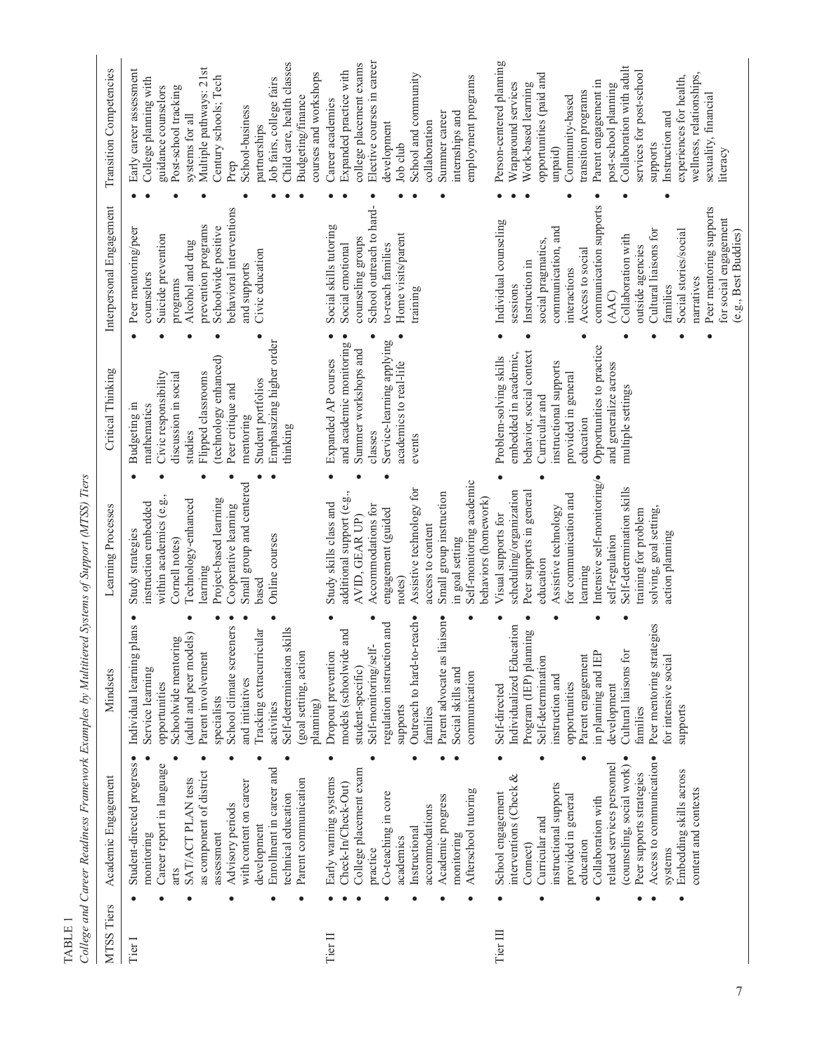| Tiers<br><b>MTSS</b> | Academic Engagement                                                                                                                                                                                                                                                                                                                              | Mindsets                                                                                                                                                                                                                                                                                                                          | Learning Processes                                                                                                                                                                                                                                                                                      | Critical Thinking                                                                                                                                                                                                                      | Interpersonal Engagement                                                                                                                                                                                                                                                                                                                                                      | <b>Transition Competencies</b>                                                                                                                                                                                                                                                                                                                                                           |
|----------------------|--------------------------------------------------------------------------------------------------------------------------------------------------------------------------------------------------------------------------------------------------------------------------------------------------------------------------------------------------|-----------------------------------------------------------------------------------------------------------------------------------------------------------------------------------------------------------------------------------------------------------------------------------------------------------------------------------|---------------------------------------------------------------------------------------------------------------------------------------------------------------------------------------------------------------------------------------------------------------------------------------------------------|----------------------------------------------------------------------------------------------------------------------------------------------------------------------------------------------------------------------------------------|-------------------------------------------------------------------------------------------------------------------------------------------------------------------------------------------------------------------------------------------------------------------------------------------------------------------------------------------------------------------------------|------------------------------------------------------------------------------------------------------------------------------------------------------------------------------------------------------------------------------------------------------------------------------------------------------------------------------------------------------------------------------------------|
| Tier I               | Student-directed progress.<br>Career report in language<br>Enrollment in career and<br>as component of district<br>SAT/ACT PLAN tests<br>Parent communication<br>with content on career<br>technical education<br>Advisory periods<br>development<br>monitoring<br>assessment<br>arts                                                            | ٠<br>lans<br>School climate screeners<br>Self-determination skills<br>Tracking extracurricular<br>ਕਾਂ ਲੱ<br>Individual learning p<br>Schoolwide mentorin<br>(adult and peer mode<br>(goal setting, action<br>Parent involvement<br>Service learning<br>and initiatives<br>opportunities<br>specialists<br>planning)<br>activities | Small group and centered<br>Project-based learning<br>Technology-enhanced<br>within academics (e.g.<br>instruction embedded<br>Cooperative learning<br>Study strategies<br>Online courses<br>Cornell notes)<br>learning<br>based                                                                        | Emphasizing higher order<br>(technology enhanced)<br>Flipped classrooms<br>Civic responsibility<br>discussion in social<br>Student portfolios<br>Peer critique and<br>Budgeting in<br>mathematics<br>mentoring<br>thinking<br>studies  | behavioral interventions<br>prevention programs<br>Schoolwide positive<br>Peer mentoring/peer<br>Suicide prevention<br>Alcohol and drug<br>Civic education<br>and supports<br>counselors<br>programs                                                                                                                                                                          | Child care, health classes<br>Multiple pathways: 21st<br>Early career assessment<br>courses and workshops<br>Century schools; Tech<br>College planning with<br>Job fairs, college fairs<br>Post-school tracking<br>guidance counselors<br>Budgeting/finance<br>School-business<br>systems for all<br>partnerships<br>Prep                                                                |
| Tier $\Pi$           | College placement exam<br>Early warning systems<br>Check-In/Check-Out)<br>Afterschool tutoring<br>Co-teaching in core<br>Academic progress<br>accommodations<br>Instructional<br>monitoring<br>academics<br>practice                                                                                                                             | Outreach to hard-to-reach.<br>Parent advocate as liaison.<br>regulation instruction and<br>models (schoolwide and<br>Self-monitoring/self-<br>Dropout prevention<br>student-specific)<br>Social skills and<br>communication<br>supports<br>families                                                                               | Self-monitoring academic<br>Assistive technology for<br>additional support (e.g.,<br>Small group instruction<br>behaviors (homework)<br>Study skills class and<br>Accommodations for<br>engagement (guided<br>AVID, GEAR UP)<br>access to content<br>in goal setting<br>notes)                          | Service-learning applying<br>and academic monitoring<br>Summer workshops and<br>Expanded AP courses<br>academics to real-life<br>classes<br>events                                                                                     | School outreach to hard-<br>Social skills tutoring<br>Home visits/parent<br>counseling groups<br>Social emotional<br>to-reach families<br>training                                                                                                                                                                                                                            | Elective courses in career<br>college placement exams<br>Expanded practice with<br>School and community<br>employment programs<br>Career academies<br>Summer career<br>internships and<br>collaboration<br>development<br>Job club                                                                                                                                                       |
| Tier III             | Access to communication<br>related services personnel<br>(counseling, social work)<br>Embedding skills across<br>Peer supports strategies<br>ళ<br>instructional supports<br>interventions (Check<br>content and contexts<br>School engagement<br>provided in general<br>Collaboration with<br>Curricular and<br>education<br>Connect)<br>systems | gies<br>Individualized Education<br>Program (IEP) planning<br>Peer mentoring strate<br>Cultural liaisons for<br>in planning and IEP<br>Parent engagement<br>for intensive social<br>Self-determination<br>instruction and<br>opportunities<br>development<br>Self-directed<br>supports<br>families                                | Intensive self-monitoring/<br>Self-determination skills<br>scheduling/organization<br>Peer supports in general<br>for communication and<br>Assistive technology<br>solving, goal setting,<br>training for problem<br>Visual supports for<br>action planning<br>self-regulation<br>education<br>learning | Opportunities to practice<br>behavior, social context<br>embedded in academic,<br>Problem-solving skills<br>instructional supports<br>and generalize across<br>provided in general<br>multiple settings<br>Curricular and<br>education | ٠<br>communication supports<br>Peer mentoring supports<br>for social engagement<br>Individual counseling<br>communication, and<br>Cultural liaisons for<br>(e.g., Best Buddies)<br>Social stories/social<br>Collaboration with<br>social pragmatics,<br>outside agencies<br>Access to social<br>Instruction in<br>interactions<br>narratives<br>sessions<br>families<br>(AAC) | Person-centered planning<br>Collaboration with adult<br>services for post-school<br>wellness, relationships,<br>opportunities (paid and<br>experiences for health,<br>Parent engagement in<br>Wraparound services<br>Work-based learning<br>post-school planning<br>transition programs<br>sexuality, financial<br>Community-based<br>Instruction and<br>supports<br>unpaid)<br>literacy |

*College and Career Readiness Framework Examples by Multitiered Systems of Support (MTSS) Tiers*  $\zeta$  $\vec{r}$  $M<sub>1</sub>$  $\ddot{\phantom{0}}$  $\overline{a}$  $\overline{L}$ Ę,  $\ddot{\cdot}$ f,  $\frac{1}{2}$ TABLE 1<br>Collogo ani

Table 1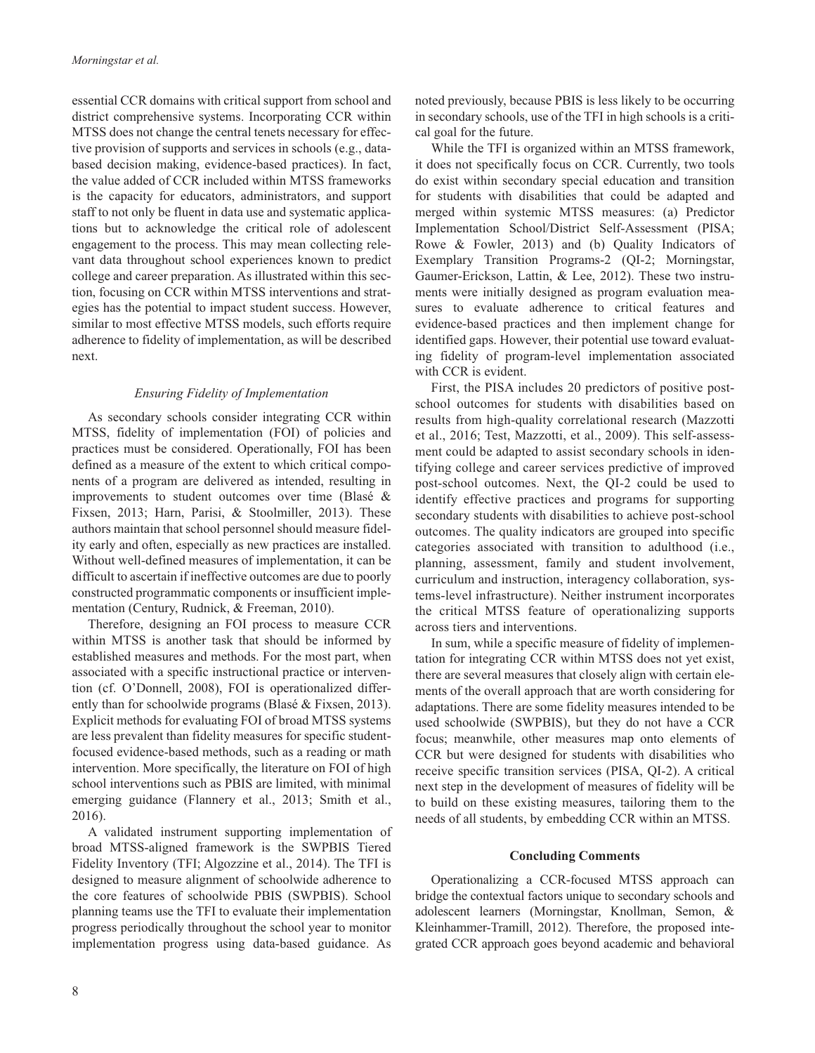essential CCR domains with critical support from school and district comprehensive systems. Incorporating CCR within MTSS does not change the central tenets necessary for effective provision of supports and services in schools (e.g., databased decision making, evidence-based practices). In fact, the value added of CCR included within MTSS frameworks is the capacity for educators, administrators, and support staff to not only be fluent in data use and systematic applications but to acknowledge the critical role of adolescent engagement to the process. This may mean collecting relevant data throughout school experiences known to predict college and career preparation. As illustrated within this section, focusing on CCR within MTSS interventions and strategies has the potential to impact student success. However, similar to most effective MTSS models, such efforts require adherence to fidelity of implementation, as will be described next.

### *Ensuring Fidelity of Implementation*

As secondary schools consider integrating CCR within MTSS, fidelity of implementation (FOI) of policies and practices must be considered. Operationally, FOI has been defined as a measure of the extent to which critical components of a program are delivered as intended, resulting in improvements to student outcomes over time (Blasé & Fixsen, 2013; Harn, Parisi, & Stoolmiller, 2013). These authors maintain that school personnel should measure fidelity early and often, especially as new practices are installed. Without well-defined measures of implementation, it can be difficult to ascertain if ineffective outcomes are due to poorly constructed programmatic components or insufficient implementation (Century, Rudnick, & Freeman, 2010).

Therefore, designing an FOI process to measure CCR within MTSS is another task that should be informed by established measures and methods. For the most part, when associated with a specific instructional practice or intervention (cf. O'Donnell, 2008), FOI is operationalized differently than for schoolwide programs (Blasé & Fixsen, 2013). Explicit methods for evaluating FOI of broad MTSS systems are less prevalent than fidelity measures for specific studentfocused evidence-based methods, such as a reading or math intervention. More specifically, the literature on FOI of high school interventions such as PBIS are limited, with minimal emerging guidance (Flannery et al., 2013; Smith et al., 2016).

A validated instrument supporting implementation of broad MTSS-aligned framework is the SWPBIS Tiered Fidelity Inventory (TFI; Algozzine et al., 2014). The TFI is designed to measure alignment of schoolwide adherence to the core features of schoolwide PBIS (SWPBIS). School planning teams use the TFI to evaluate their implementation progress periodically throughout the school year to monitor implementation progress using data-based guidance. As

noted previously, because PBIS is less likely to be occurring in secondary schools, use of the TFI in high schools is a critical goal for the future.

While the TFI is organized within an MTSS framework, it does not specifically focus on CCR. Currently, two tools do exist within secondary special education and transition for students with disabilities that could be adapted and merged within systemic MTSS measures: (a) Predictor Implementation School/District Self-Assessment (PISA; Rowe & Fowler, 2013) and (b) Quality Indicators of Exemplary Transition Programs-2 (QI-2; Morningstar, Gaumer-Erickson, Lattin, & Lee, 2012). These two instruments were initially designed as program evaluation measures to evaluate adherence to critical features and evidence-based practices and then implement change for identified gaps. However, their potential use toward evaluating fidelity of program-level implementation associated with CCR is evident.

First, the PISA includes 20 predictors of positive postschool outcomes for students with disabilities based on results from high-quality correlational research (Mazzotti et al., 2016; Test, Mazzotti, et al., 2009). This self-assessment could be adapted to assist secondary schools in identifying college and career services predictive of improved post-school outcomes. Next, the QI-2 could be used to identify effective practices and programs for supporting secondary students with disabilities to achieve post-school outcomes. The quality indicators are grouped into specific categories associated with transition to adulthood (i.e., planning, assessment, family and student involvement, curriculum and instruction, interagency collaboration, systems-level infrastructure). Neither instrument incorporates the critical MTSS feature of operationalizing supports across tiers and interventions.

In sum, while a specific measure of fidelity of implementation for integrating CCR within MTSS does not yet exist, there are several measures that closely align with certain elements of the overall approach that are worth considering for adaptations. There are some fidelity measures intended to be used schoolwide (SWPBIS), but they do not have a CCR focus; meanwhile, other measures map onto elements of CCR but were designed for students with disabilities who receive specific transition services (PISA, QI-2). A critical next step in the development of measures of fidelity will be to build on these existing measures, tailoring them to the needs of all students, by embedding CCR within an MTSS.

#### **Concluding Comments**

Operationalizing a CCR-focused MTSS approach can bridge the contextual factors unique to secondary schools and adolescent learners (Morningstar, Knollman, Semon, & Kleinhammer-Tramill, 2012). Therefore, the proposed integrated CCR approach goes beyond academic and behavioral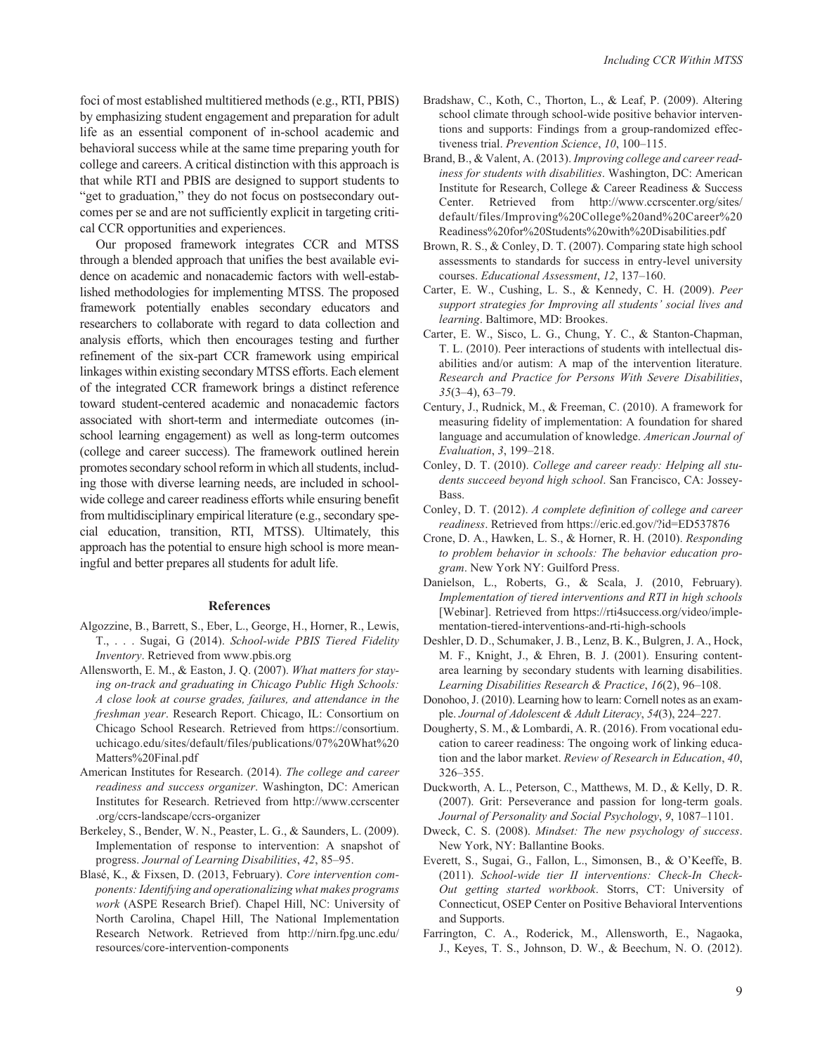foci of most established multitiered methods (e.g., RTI, PBIS) by emphasizing student engagement and preparation for adult life as an essential component of in-school academic and behavioral success while at the same time preparing youth for college and careers. A critical distinction with this approach is that while RTI and PBIS are designed to support students to "get to graduation," they do not focus on postsecondary outcomes per se and are not sufficiently explicit in targeting critical CCR opportunities and experiences.

Our proposed framework integrates CCR and MTSS through a blended approach that unifies the best available evidence on academic and nonacademic factors with well-established methodologies for implementing MTSS. The proposed framework potentially enables secondary educators and researchers to collaborate with regard to data collection and analysis efforts, which then encourages testing and further refinement of the six-part CCR framework using empirical linkages within existing secondary MTSS efforts. Each element of the integrated CCR framework brings a distinct reference toward student-centered academic and nonacademic factors associated with short-term and intermediate outcomes (inschool learning engagement) as well as long-term outcomes (college and career success). The framework outlined herein promotes secondary school reform in which all students, including those with diverse learning needs, are included in schoolwide college and career readiness efforts while ensuring benefit from multidisciplinary empirical literature (e.g., secondary special education, transition, RTI, MTSS). Ultimately, this approach has the potential to ensure high school is more meaningful and better prepares all students for adult life.

#### **References**

- Algozzine, B., Barrett, S., Eber, L., George, H., Horner, R., Lewis, T., . . . Sugai, G (2014). *School-wide PBIS Tiered Fidelity Inventory*. Retrieved from www.pbis.org
- Allensworth, E. M., & Easton, J. Q. (2007). *What matters for staying on-track and graduating in Chicago Public High Schools: A close look at course grades, failures, and attendance in the freshman year*. Research Report. Chicago, IL: Consortium on Chicago School Research. Retrieved from [https://consortium.](https://consortium.uchicago.edu/sites/default/files/publications/07%20What%20Matters%20Final.pdf) [uchicago.edu/sites/default/files/publications/07%20What%20](https://consortium.uchicago.edu/sites/default/files/publications/07%20What%20Matters%20Final.pdf) [Matters%20Final.pdf](https://consortium.uchicago.edu/sites/default/files/publications/07%20What%20Matters%20Final.pdf)
- American Institutes for Research. (2014). *The college and career readiness and success organizer*. Washington, DC: American Institutes for Research. Retrieved from http://www.ccrscenter .org/ccrs-landscape/ccrs-organizer
- Berkeley, S., Bender, W. N., Peaster, L. G., & Saunders, L. (2009). Implementation of response to intervention: A snapshot of progress. *Journal of Learning Disabilities*, *42*, 85–95.
- Blasé, K., & Fixsen, D. (2013, February). *Core intervention components: Identifying and operationalizing what makes programs work* (ASPE Research Brief). Chapel Hill, NC: University of North Carolina, Chapel Hill, The National Implementation Research Network. Retrieved from http://nirn.fpg.unc.edu/ resources/core-intervention-components
- Bradshaw, C., Koth, C., Thorton, L., & Leaf, P. (2009). Altering school climate through school-wide positive behavior interventions and supports: Findings from a group-randomized effectiveness trial. *Prevention Science*, *10*, 100–115.
- Brand, B., & Valent, A. (2013). *Improving college and career readiness for students with disabilities*. Washington, DC: American Institute for Research, College & Career Readiness & Success Center. Retrieved from http://www.ccrscenter.org/sites/ default/files/Improving%20College%20and%20Career%20 Readiness%20for%20Students%20with%20Disabilities.pdf
- Brown, R. S., & Conley, D. T. (2007). Comparing state high school assessments to standards for success in entry-level university courses. *Educational Assessment*, *12*, 137–160.
- Carter, E. W., Cushing, L. S., & Kennedy, C. H. (2009). *Peer support strategies for Improving all students' social lives and learning*. Baltimore, MD: Brookes.
- Carter, E. W., Sisco, L. G., Chung, Y. C., & Stanton-Chapman, T. L. (2010). Peer interactions of students with intellectual disabilities and/or autism: A map of the intervention literature. *Research and Practice for Persons With Severe Disabilities*, *35*(3–4), 63–79.
- Century, J., Rudnick, M., & Freeman, C. (2010). A framework for measuring fidelity of implementation: A foundation for shared language and accumulation of knowledge. *American Journal of Evaluation*, *3*, 199–218.
- Conley, D. T. (2010). *College and career ready: Helping all students succeed beyond high school*. San Francisco, CA: Jossey-Bass.
- Conley, D. T. (2012). *A complete definition of college and career readiness*. Retrieved from https://eric.ed.gov/?id=ED537876
- Crone, D. A., Hawken, L. S., & Horner, R. H. (2010). *Responding to problem behavior in schools: The behavior education program*. New York NY: Guilford Press.
- Danielson, L., Roberts, G., & Scala, J. (2010, February). *Implementation of tiered interventions and RTI in high schools* [Webinar]. Retrieved from https://rti4success.org/video/implementation-tiered-interventions-and-rti-high-schools
- Deshler, D. D., Schumaker, J. B., Lenz, B. K., Bulgren, J. A., Hock, M. F., Knight, J., & Ehren, B. J. (2001). Ensuring contentarea learning by secondary students with learning disabilities. *Learning Disabilities Research & Practice*, *16*(2), 96–108.
- Donohoo, J. (2010). Learning how to learn: Cornell notes as an example. *Journal of Adolescent & Adult Literacy*, *54*(3), 224–227.
- Dougherty, S. M., & Lombardi, A. R. (2016). From vocational education to career readiness: The ongoing work of linking education and the labor market. *Review of Research in Education*, *40*, 326–355.
- Duckworth, A. L., Peterson, C., Matthews, M. D., & Kelly, D. R. (2007). Grit: Perseverance and passion for long-term goals. *Journal of Personality and Social Psychology*, *9*, 1087–1101.
- Dweck, C. S. (2008). *Mindset: The new psychology of success*. New York, NY: Ballantine Books.
- Everett, S., Sugai, G., Fallon, L., Simonsen, B., & O'Keeffe, B. (2011). *School-wide tier II interventions: Check-In Check-Out getting started workbook*. Storrs, CT: University of Connecticut, OSEP Center on Positive Behavioral Interventions and Supports.
- Farrington, C. A., Roderick, M., Allensworth, E., Nagaoka, J., Keyes, T. S., Johnson, D. W., & Beechum, N. O. (2012).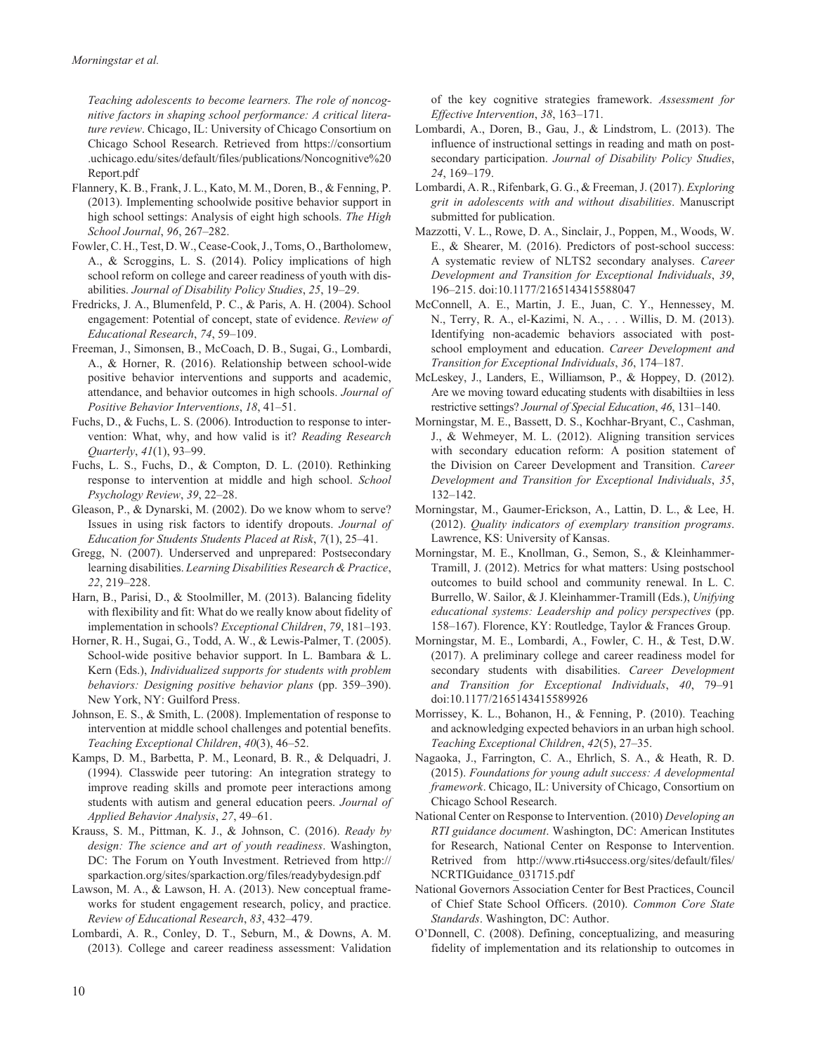*Teaching adolescents to become learners. The role of noncognitive factors in shaping school performance: A critical literature review*. Chicago, IL: University of Chicago Consortium on Chicago School Research. Retrieved from https://consortium .uchicago.edu/sites/default/files/publications/Noncognitive%20 Report.pdf

- Flannery, K. B., Frank, J. L., Kato, M. M., Doren, B., & Fenning, P. (2013). Implementing schoolwide positive behavior support in high school settings: Analysis of eight high schools. *The High School Journal*, *96*, 267–282.
- Fowler, C. H., Test, D. W., Cease-Cook, J., Toms, O., Bartholomew, A., & Scroggins, L. S. (2014). Policy implications of high school reform on college and career readiness of youth with disabilities. *Journal of Disability Policy Studies*, *25*, 19–29.
- Fredricks, J. A., Blumenfeld, P. C., & Paris, A. H. (2004). School engagement: Potential of concept, state of evidence. *Review of Educational Research*, *74*, 59–109.
- Freeman, J., Simonsen, B., McCoach, D. B., Sugai, G., Lombardi, A., & Horner, R. (2016). Relationship between school-wide positive behavior interventions and supports and academic, attendance, and behavior outcomes in high schools. *Journal of Positive Behavior Interventions*, *18*, 41–51.
- Fuchs, D., & Fuchs, L. S. (2006). Introduction to response to intervention: What, why, and how valid is it? *Reading Research Quarterly*, *41*(1), 93–99.
- Fuchs, L. S., Fuchs, D., & Compton, D. L. (2010). Rethinking response to intervention at middle and high school. *School Psychology Review*, *39*, 22–28.
- Gleason, P., & Dynarski, M. (2002). Do we know whom to serve? Issues in using risk factors to identify dropouts. *Journal of Education for Students Students Placed at Risk*, *7*(1), 25–41.
- Gregg, N. (2007). Underserved and unprepared: Postsecondary learning disabilities. *Learning Disabilities Research & Practice*, *22*, 219–228.
- Harn, B., Parisi, D., & Stoolmiller, M. (2013). Balancing fidelity with flexibility and fit: What do we really know about fidelity of implementation in schools? *Exceptional Children*, *79*, 181–193.
- Horner, R. H., Sugai, G., Todd, A. W., & Lewis-Palmer, T. (2005). School-wide positive behavior support. In L. Bambara & L. Kern (Eds.), *Individualized supports for students with problem behaviors: Designing positive behavior plans* (pp. 359–390). New York, NY: Guilford Press.
- Johnson, E. S., & Smith, L. (2008). Implementation of response to intervention at middle school challenges and potential benefits. *Teaching Exceptional Children*, *40*(3), 46–52.
- Kamps, D. M., Barbetta, P. M., Leonard, B. R., & Delquadri, J. (1994). Classwide peer tutoring: An integration strategy to improve reading skills and promote peer interactions among students with autism and general education peers. *Journal of Applied Behavior Analysis*, *27*, 49–61.
- Krauss, S. M., Pittman, K. J., & Johnson, C. (2016). *Ready by design: The science and art of youth readiness*. Washington, DC: The Forum on Youth Investment. Retrieved from http:// sparkaction.org/sites/sparkaction.org/files/readybydesign.pdf
- Lawson, M. A., & Lawson, H. A. (2013). New conceptual frameworks for student engagement research, policy, and practice. *Review of Educational Research*, *83*, 432–479.
- Lombardi, A. R., Conley, D. T., Seburn, M., & Downs, A. M. (2013). College and career readiness assessment: Validation

of the key cognitive strategies framework. *Assessment for Effective Intervention*, *38*, 163–171.

- Lombardi, A., Doren, B., Gau, J., & Lindstrom, L. (2013). The influence of instructional settings in reading and math on postsecondary participation. *Journal of Disability Policy Studies*, *24*, 169–179.
- Lombardi, A. R., Rifenbark, G. G., & Freeman, J. (2017). *Exploring grit in adolescents with and without disabilities*. Manuscript submitted for publication.
- Mazzotti, V. L., Rowe, D. A., Sinclair, J., Poppen, M., Woods, W. E., & Shearer, M. (2016). Predictors of post-school success: A systematic review of NLTS2 secondary analyses. *Career Development and Transition for Exceptional Individuals*, *39*, 196–215. doi:10.1177/2165143415588047
- McConnell, A. E., Martin, J. E., Juan, C. Y., Hennessey, M. N., Terry, R. A., el-Kazimi, N. A., . . . Willis, D. M. (2013). Identifying non-academic behaviors associated with postschool employment and education. *Career Development and Transition for Exceptional Individuals*, *36*, 174–187.
- McLeskey, J., Landers, E., Williamson, P., & Hoppey, D. (2012). Are we moving toward educating students with disabiltiies in less restrictive settings? *Journal of Special Education*, *46*, 131–140.
- Morningstar, M. E., Bassett, D. S., Kochhar-Bryant, C., Cashman, J., & Wehmeyer, M. L. (2012). Aligning transition services with secondary education reform: A position statement of the Division on Career Development and Transition. *Career Development and Transition for Exceptional Individuals*, *35*, 132–142.
- Morningstar, M., Gaumer-Erickson, A., Lattin, D. L., & Lee, H. (2012). *Quality indicators of exemplary transition programs*. Lawrence, KS: University of Kansas.
- Morningstar, M. E., Knollman, G., Semon, S., & Kleinhammer-Tramill, J. (2012). Metrics for what matters: Using postschool outcomes to build school and community renewal. In L. C. Burrello, W. Sailor, & J. Kleinhammer-Tramill (Eds.), *Unifying educational systems: Leadership and policy perspectives* (pp. 158–167). Florence, KY: Routledge, Taylor & Frances Group.
- Morningstar, M. E., Lombardi, A., Fowler, C. H., & Test, D.W. (2017). A preliminary college and career readiness model for secondary students with disabilities. *Career Development and Transition for Exceptional Individuals*, *40*, 79–91 doi:10.1177/2165143415589926
- Morrissey, K. L., Bohanon, H., & Fenning, P. (2010). Teaching and acknowledging expected behaviors in an urban high school. *Teaching Exceptional Children*, *42*(5), 27–35.
- Nagaoka, J., Farrington, C. A., Ehrlich, S. A., & Heath, R. D. (2015). *Foundations for young adult success: A developmental framework*. Chicago, IL: University of Chicago, Consortium on Chicago School Research.
- National Center on Response to Intervention. (2010) *Developing an RTI guidance document*. Washington, DC: American Institutes for Research, National Center on Response to Intervention. Retrived from http://www.rti4success.org/sites/default/files/ NCRTIGuidance\_031715.pdf
- National Governors Association Center for Best Practices, Council of Chief State School Officers. (2010). *Common Core State Standards*. Washington, DC: Author.
- O'Donnell, C. (2008). Defining, conceptualizing, and measuring fidelity of implementation and its relationship to outcomes in